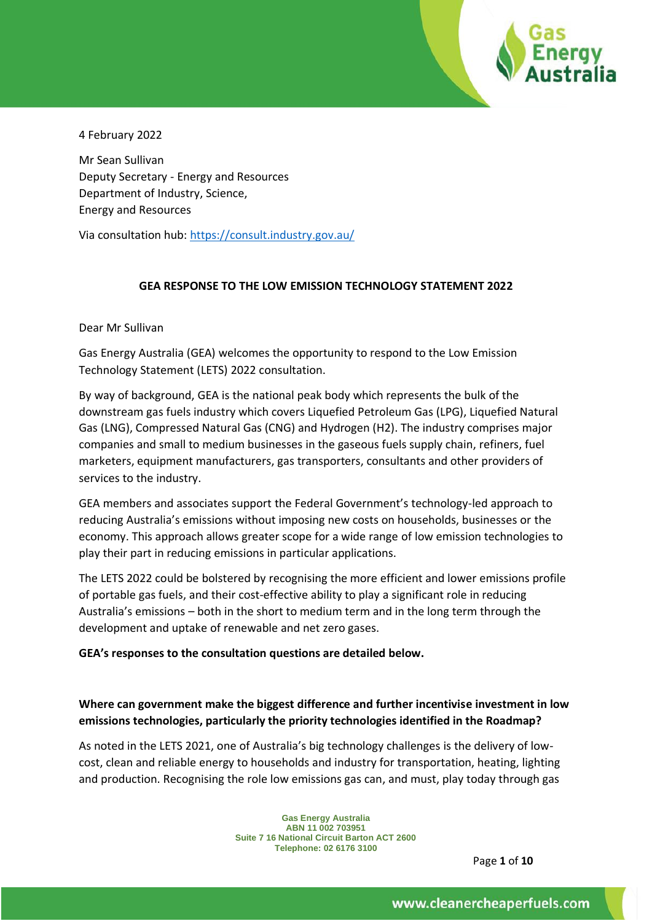

4 February 2022

Mr Sean Sullivan Deputy Secretary - Energy and Resources Department of Industry, Science, Energy and Resources

Via consultation hub:<https://consult.industry.gov.au/>

#### **GEA RESPONSE TO THE LOW EMISSION TECHNOLOGY STATEMENT 2022**

Dear Mr Sullivan

Gas Energy Australia (GEA) welcomes the opportunity to respond to the Low Emission Technology Statement (LETS) 2022 consultation.

By way of background, GEA is the national peak body which represents the bulk of the downstream gas fuels industry which covers Liquefied Petroleum Gas (LPG), Liquefied Natural Gas (LNG), Compressed Natural Gas (CNG) and Hydrogen (H2). The industry comprises major companies and small to medium businesses in the gaseous fuels supply chain, refiners, fuel marketers, equipment manufacturers, gas transporters, consultants and other providers of services to the industry.

GEA members and associates support the Federal Government's technology-led approach to reducing Australia's emissions without imposing new costs on households, businesses or the economy. This approach allows greater scope for a wide range of low emission technologies to play their part in reducing emissions in particular applications.

The LETS 2022 could be bolstered by recognising the more efficient and lower emissions profile of portable gas fuels, and their cost-effective ability to play a significant role in reducing Australia's emissions – both in the short to medium term and in the long term through the development and uptake of renewable and net zero gases.

#### **GEA's responses to the consultation questions are detailed below.**

## **Where can government make the biggest difference and further incentivise investment in low emissions technologies, particularly the priority technologies identified in the Roadmap?**

As noted in the LETS 2021, one of Australia's big technology challenges is the delivery of lowcost, clean and reliable energy to households and industry for transportation, heating, lighting and production. Recognising the role low emissions gas can, and must, play today through gas

> **Gas Energy Australia ABN 11 002 703951 Suite 7 16 National Circuit Barton ACT 2600 Telephone: 02 6176 3100**

> > Page **1** of **10**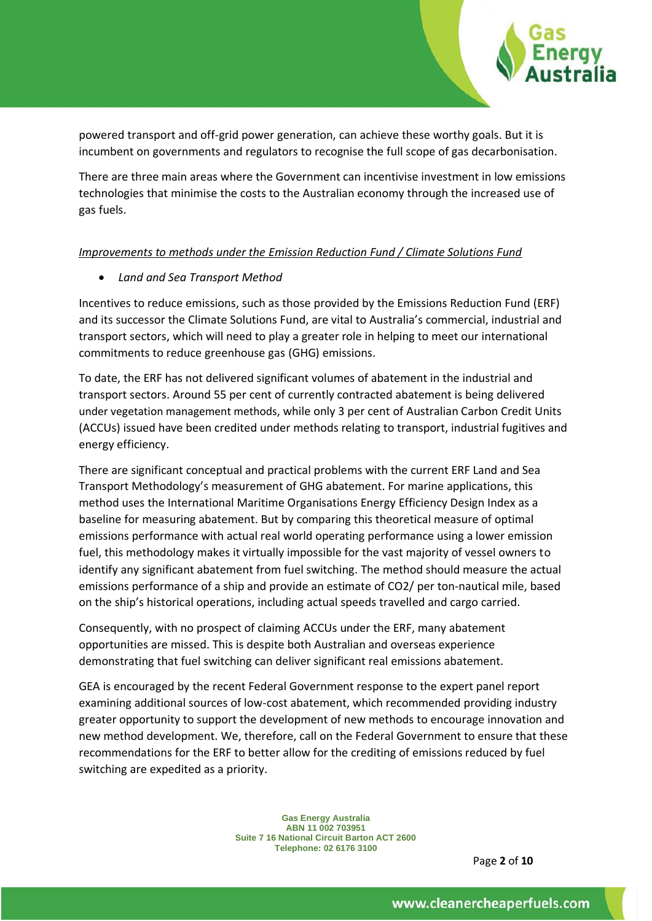

powered transport and off-grid power generation, can achieve these worthy goals. But it is incumbent on governments and regulators to recognise the full scope of gas decarbonisation.

There are three main areas where the Government can incentivise investment in low emissions technologies that minimise the costs to the Australian economy through the increased use of gas fuels.

### *Improvements to methods under the Emission Reduction Fund / Climate Solutions Fund*

### • *Land and Sea Transport Method*

Incentives to reduce emissions, such as those provided by the Emissions Reduction Fund (ERF) and its successor the Climate Solutions Fund, are vital to Australia's commercial, industrial and transport sectors, which will need to play a greater role in helping to meet our international commitments to reduce greenhouse gas (GHG) emissions.

To date, the ERF has not delivered significant volumes of abatement in the industrial and transport sectors. Around 55 per cent of currently contracted abatement is being delivered under vegetation management methods, while only 3 per cent of Australian Carbon Credit Units (ACCUs) issued have been credited under methods relating to transport, industrial fugitives and energy efficiency.

There are significant conceptual and practical problems with the current ERF Land and Sea Transport Methodology's measurement of GHG abatement. For marine applications, this method uses the International Maritime Organisations Energy Efficiency Design Index as a baseline for measuring abatement. But by comparing this theoretical measure of optimal emissions performance with actual real world operating performance using a lower emission fuel, this methodology makes it virtually impossible for the vast majority of vessel owners to identify any significant abatement from fuel switching. The method should measure the actual emissions performance of a ship and provide an estimate of CO2/ per ton-nautical mile, based on the ship's historical operations, including actual speeds travelled and cargo carried.

Consequently, with no prospect of claiming ACCUs under the ERF, many abatement opportunities are missed. This is despite both Australian and overseas experience demonstrating that fuel switching can deliver significant real emissions abatement.

GEA is encouraged by the recent Federal Government response to the expert panel report examining additional sources of low-cost abatement, which recommended providing industry greater opportunity to support the development of new methods to encourage innovation and new method development. We, therefore, call on the Federal Government to ensure that these recommendations for the ERF to better allow for the crediting of emissions reduced by fuel switching are expedited as a priority.

> **Gas Energy Australia ABN 11 002 703951 Suite 7 16 National Circuit Barton ACT 2600 Telephone: 02 6176 3100**

> > Page **2** of **10**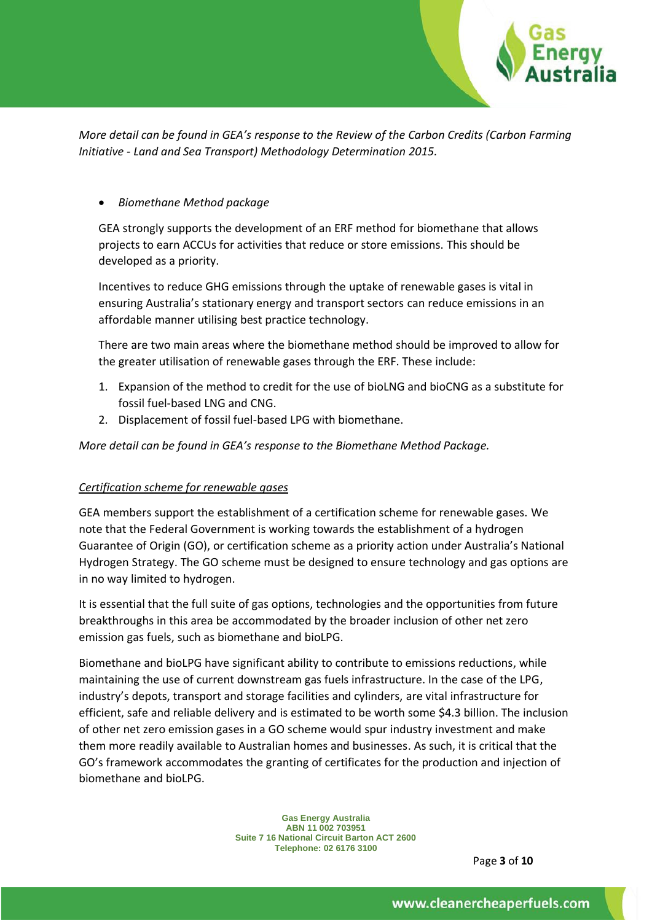

*More detail can be found in GEA's response to the Review of the Carbon Credits (Carbon Farming Initiative - Land and Sea Transport) Methodology Determination 2015.*

### • *Biomethane Method package*

GEA strongly supports the development of an ERF method for biomethane that allows projects to earn ACCUs for activities that reduce or store emissions. This should be developed as a priority.

Incentives to reduce GHG emissions through the uptake of renewable gases is vital in ensuring Australia's stationary energy and transport sectors can reduce emissions in an affordable manner utilising best practice technology.

There are two main areas where the biomethane method should be improved to allow for the greater utilisation of renewable gases through the ERF. These include:

- 1. Expansion of the method to credit for the use of bioLNG and bioCNG as a substitute for fossil fuel-based LNG and CNG.
- 2. Displacement of fossil fuel-based LPG with biomethane.

### *More detail can be found in GEA's response to the Biomethane Method Package.*

#### *Certification scheme for renewable gases*

GEA members support the establishment of a certification scheme for renewable gases. We note that the Federal Government is working towards the establishment of a hydrogen Guarantee of Origin (GO), or certification scheme as a priority action under Australia's National Hydrogen Strategy. The GO scheme must be designed to ensure technology and gas options are in no way limited to hydrogen.

It is essential that the full suite of gas options, technologies and the opportunities from future breakthroughs in this area be accommodated by the broader inclusion of other net zero emission gas fuels, such as biomethane and bioLPG.

Biomethane and bioLPG have significant ability to contribute to emissions reductions, while maintaining the use of current downstream gas fuels infrastructure. In the case of the LPG, industry's depots, transport and storage facilities and cylinders, are vital infrastructure for efficient, safe and reliable delivery and is estimated to be worth some \$4.3 billion. The inclusion of other net zero emission gases in a GO scheme would spur industry investment and make them more readily available to Australian homes and businesses. As such, it is critical that the GO's framework accommodates the granting of certificates for the production and injection of biomethane and bioLPG.

> **Gas Energy Australia ABN 11 002 703951 Suite 7 16 National Circuit Barton ACT 2600 Telephone: 02 6176 3100**

> > Page **3** of **10**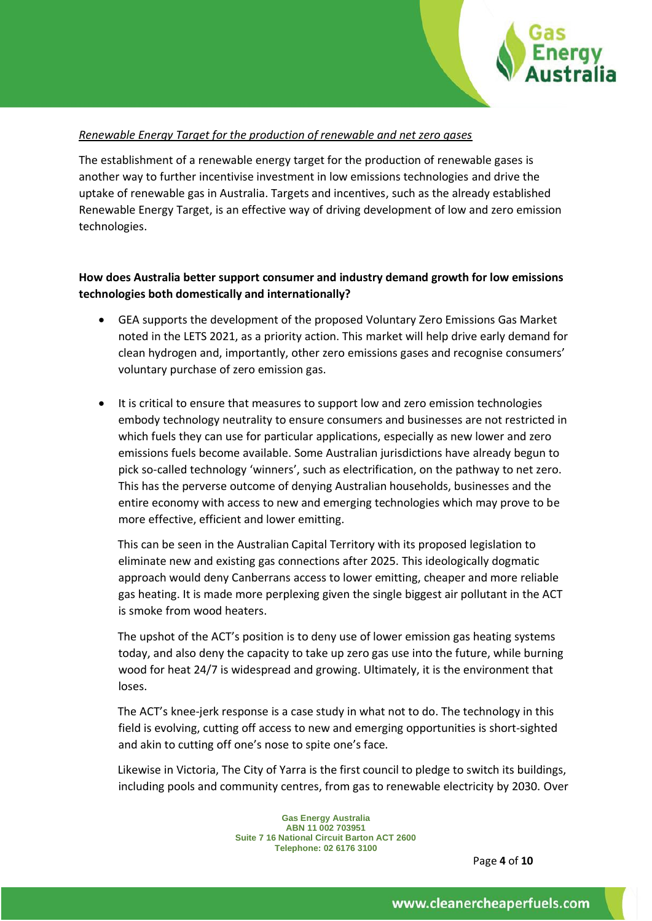

#### *Renewable Energy Target for the production of renewable and net zero gases*

The establishment of a renewable energy target for the production of renewable gases is another way to further incentivise investment in low emissions technologies and drive the uptake of renewable gas in Australia. Targets and incentives, such as the already established Renewable Energy Target, is an effective way of driving development of low and zero emission technologies.

### **How does Australia better support consumer and industry demand growth for low emissions technologies both domestically and internationally?**

- GEA supports the development of the proposed Voluntary Zero Emissions Gas Market noted in the LETS 2021, as a priority action. This market will help drive early demand for clean hydrogen and, importantly, other zero emissions gases and recognise consumers' voluntary purchase of zero emission gas.
- It is critical to ensure that measures to support low and zero emission technologies embody technology neutrality to ensure consumers and businesses are not restricted in which fuels they can use for particular applications, especially as new lower and zero emissions fuels become available. Some Australian jurisdictions have already begun to pick so-called technology 'winners', such as electrification, on the pathway to net zero. This has the perverse outcome of denying Australian households, businesses and the entire economy with access to new and emerging technologies which may prove to be more effective, efficient and lower emitting.

This can be seen in the Australian Capital Territory with its proposed legislation to eliminate new and existing gas connections after 2025. This ideologically dogmatic approach would deny Canberrans access to lower emitting, cheaper and more reliable gas heating. It is made more perplexing given the single biggest air pollutant in the ACT is smoke from wood heaters.

The upshot of the ACT's position is to deny use of lower emission gas heating systems today, and also deny the capacity to take up zero gas use into the future, while burning wood for heat 24/7 is widespread and growing. Ultimately, it is the environment that loses.

The ACT's knee-jerk response is a case study in what not to do. The technology in this field is evolving, cutting off access to new and emerging opportunities is short-sighted and akin to cutting off one's nose to spite one's face.

Likewise in Victoria, The City of Yarra is the first council to pledge to switch its buildings, including pools and community centres, from gas to renewable electricity by 2030. Over

> **Gas Energy Australia ABN 11 002 703951 Suite 7 16 National Circuit Barton ACT 2600 Telephone: 02 6176 3100**

> > Page **4** of **10**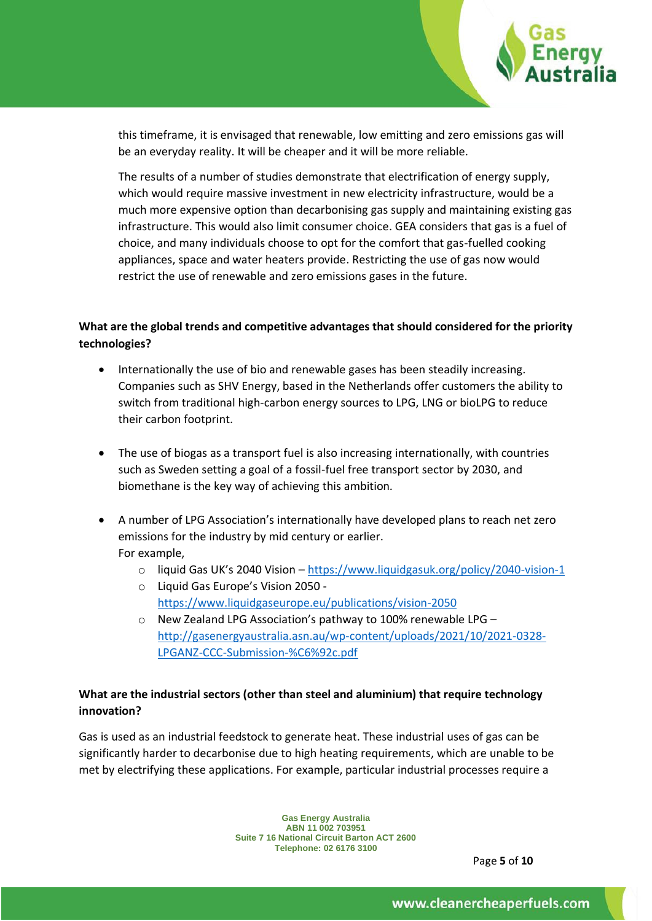

this timeframe, it is envisaged that renewable, low emitting and zero emissions gas will be an everyday reality. It will be cheaper and it will be more reliable.

The results of a number of studies demonstrate that electrification of energy supply, which would require massive investment in new electricity infrastructure, would be a much more expensive option than decarbonising gas supply and maintaining existing gas infrastructure. This would also limit consumer choice. GEA considers that gas is a fuel of choice, and many individuals choose to opt for the comfort that gas-fuelled cooking appliances, space and water heaters provide. Restricting the use of gas now would restrict the use of renewable and zero emissions gases in the future.

## **What are the global trends and competitive advantages that should considered for the priority technologies?**

- Internationally the use of bio and renewable gases has been steadily increasing. Companies such as SHV Energy, based in the Netherlands offer customers the ability to switch from traditional high-carbon energy sources to LPG, LNG or bioLPG to reduce their carbon footprint.
- The use of biogas as a transport fuel is also increasing internationally, with countries such as Sweden setting a goal of a fossil-fuel free transport sector by 2030, and biomethane is the key way of achieving this ambition.
- A number of LPG Association's internationally have developed plans to reach net zero emissions for the industry by mid century or earlier. For example,
	- o liquid Gas UK's 2040 Vision <https://www.liquidgasuk.org/policy/2040-vision-1>
	- o Liquid Gas Europe's Vision 2050 [https://www.liquidgaseurope.eu/publications/vision-2050](https://www.liquidgaseurope.eu/publications/vision-2050-the-contribution-of-the-lpg-industry-to-the-long-term-decarbonisation-of-the-european-energy-mix)
	- o New Zealand LPG Association's pathway to 100% renewable LPG [http://gasenergyaustralia.asn.au/wp-content/uploads/2021/10/2021-0328-](http://gasenergyaustralia.asn.au/wp-content/uploads/2021/10/2021-0328-LPGANZ-CCC-Submission-%C6%92c.pdf) [LPGANZ-CCC-Submission-%C6%92c.pdf](http://gasenergyaustralia.asn.au/wp-content/uploads/2021/10/2021-0328-LPGANZ-CCC-Submission-%C6%92c.pdf)

## **What are the industrial sectors (other than steel and aluminium) that require technology innovation?**

Gas is used as an industrial feedstock to generate heat. These industrial uses of gas can be significantly harder to decarbonise due to high heating requirements, which are unable to be met by electrifying these applications. For example, particular industrial processes require a

> **Gas Energy Australia ABN 11 002 703951 Suite 7 16 National Circuit Barton ACT 2600 Telephone: 02 6176 3100**

> > Page **5** of **10**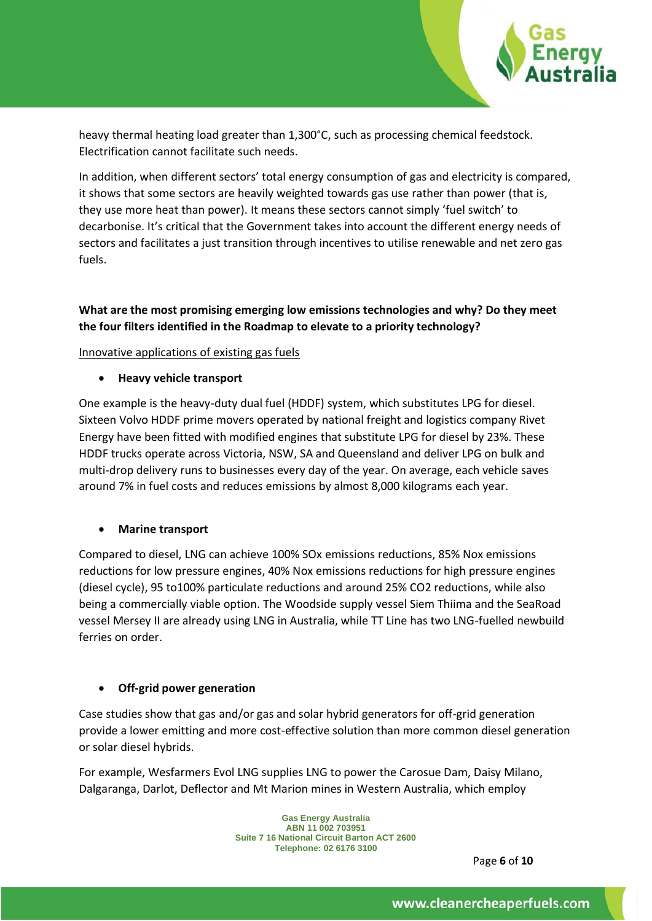

heavy thermal heating load greater than 1,300°C, such as processing chemical feedstock. Electrification cannot facilitate such needs.

In addition, when different sectors' total energy consumption of gas and electricity is compared, it shows that some sectors are heavily weighted towards gas use rather than power (that is, they use more heat than power). It means these sectors cannot simply 'fuel switch' to decarbonise. It's critical that the Government takes into account the different energy needs of sectors and facilitates a just transition through incentives to utilise renewable and net zero gas fuels.

## **What are the most promising emerging low emissions technologies and why? Do they meet the four filters identified in the Roadmap to elevate to a priority technology?**

#### Innovative applications of existing gas fuels

• **Heavy vehicle transport** 

One example is the heavy-duty dual fuel (HDDF) system, which substitutes LPG for diesel. Sixteen Volvo HDDF prime movers operated by national freight and logistics company Rivet Energy have been fitted with modified engines that substitute LPG for diesel by 23%. These HDDF trucks operate across Victoria, NSW, SA and Queensland and deliver LPG on bulk and multi-drop delivery runs to businesses every day of the year. On average, each vehicle saves around 7% in fuel costs and reduces emissions by almost 8,000 kilograms each year.

#### • **Marine transport**

Compared to diesel, LNG can achieve 100% SOx emissions reductions, 85% Nox emissions reductions for low pressure engines, 40% Nox emissions reductions for high pressure engines (diesel cycle), 95 to100% particulate reductions and around 25% CO2 reductions, while also being a commercially viable option. The Woodside supply vessel Siem Thiima and the SeaRoad vessel Mersey II are already using LNG in Australia, while TT Line has two LNG-fuelled newbuild ferries on order.

## • **Off-grid power generation**

Case studies show that gas and/or gas and solar hybrid generators for off-grid generation provide a lower emitting and more cost-effective solution than more common diesel generation or solar diesel hybrids.

For example, Wesfarmers Evol LNG supplies LNG to power the Carosue Dam, Daisy Milano, Dalgaranga, Darlot, Deflector and Mt Marion mines in Western Australia, which employ

> **Gas Energy Australia ABN 11 002 703951 Suite 7 16 National Circuit Barton ACT 2600 Telephone: 02 6176 3100**

Page **6** of **10**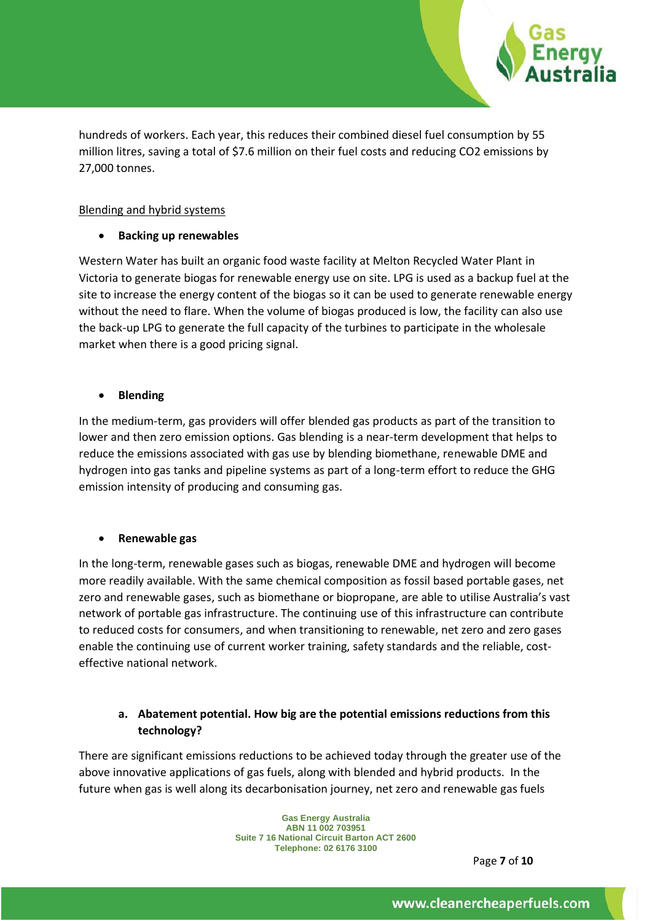

hundreds of workers. Each year, this reduces their combined diesel fuel consumption by 55 million litres, saving a total of \$7.6 million on their fuel costs and reducing CO2 emissions by 27,000 tonnes.

#### Blending and hybrid systems

### • **Backing up renewables**

Western Water has built an organic food waste facility at Melton Recycled Water Plant in Victoria to generate biogas for renewable energy use on site. LPG is used as a backup fuel at the site to increase the energy content of the biogas so it can be used to generate renewable energy without the need to flare. When the volume of biogas produced is low, the facility can also use the back-up LPG to generate the full capacity of the turbines to participate in the wholesale market when there is a good pricing signal.

### • **Blending**

In the medium-term, gas providers will offer blended gas products as part of the transition to lower and then zero emission options. Gas blending is a near-term development that helps to reduce the emissions associated with gas use by blending biomethane, renewable DME and hydrogen into gas tanks and pipeline systems as part of a long-term effort to reduce the GHG emission intensity of producing and consuming gas.

## • **Renewable gas**

In the long-term, renewable gases such as biogas, renewable DME and hydrogen will become more readily available. With the same chemical composition as fossil based portable gases, net zero and renewable gases, such as biomethane or biopropane, are able to utilise Australia's vast network of portable gas infrastructure. The continuing use of this infrastructure can contribute to reduced costs for consumers, and when transitioning to renewable, net zero and zero gases enable the continuing use of current worker training, safety standards and the reliable, costeffective national network.

## **a. Abatement potential. How big are the potential emissions reductions from this technology?**

There are significant emissions reductions to be achieved today through the greater use of the above innovative applications of gas fuels, along with blended and hybrid products. In the future when gas is well along its decarbonisation journey, net zero and renewable gas fuels

> **Gas Energy Australia ABN 11 002 703951 Suite 7 16 National Circuit Barton ACT 2600 Telephone: 02 6176 3100**

> > Page **7** of **10**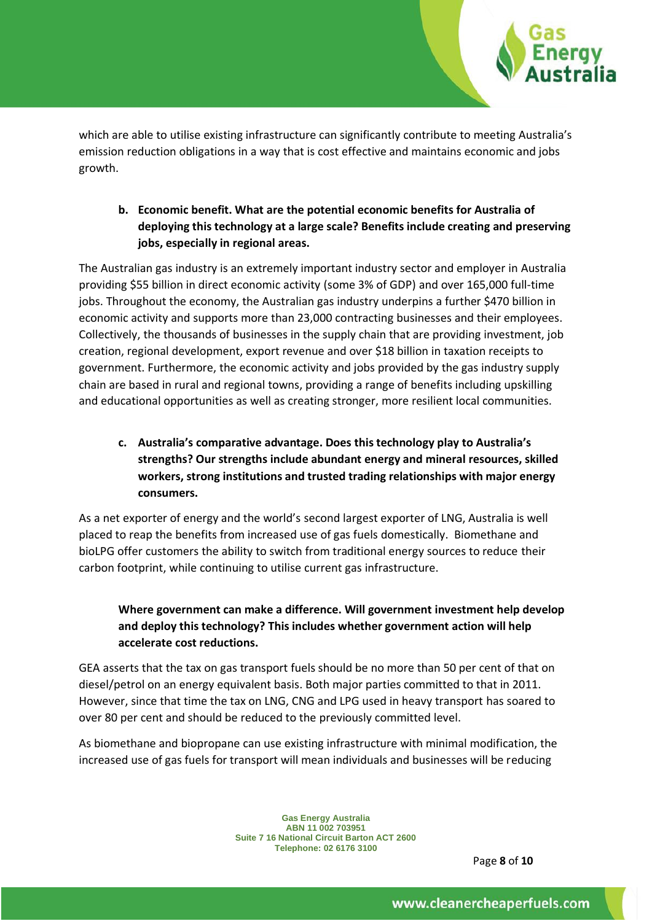

which are able to utilise existing infrastructure can significantly contribute to meeting Australia's emission reduction obligations in a way that is cost effective and maintains economic and jobs growth.

## **b. Economic benefit. What are the potential economic benefits for Australia of deploying this technology at a large scale? Benefits include creating and preserving jobs, especially in regional areas.**

The Australian gas industry is an extremely important industry sector and employer in Australia providing \$55 billion in direct economic activity (some 3% of GDP) and over 165,000 full-time jobs. Throughout the economy, the Australian gas industry underpins a further \$470 billion in economic activity and supports more than 23,000 contracting businesses and their employees. Collectively, the thousands of businesses in the supply chain that are providing investment, job creation, regional development, export revenue and over \$18 billion in taxation receipts to government. Furthermore, the economic activity and jobs provided by the gas industry supply chain are based in rural and regional towns, providing a range of benefits including upskilling and educational opportunities as well as creating stronger, more resilient local communities.

# **c. Australia's comparative advantage. Does this technology play to Australia's strengths? Our strengths include abundant energy and mineral resources, skilled workers, strong institutions and trusted trading relationships with major energy consumers.**

As a net exporter of energy and the world's second largest exporter of LNG, Australia is well placed to reap the benefits from increased use of gas fuels domestically. Biomethane and bioLPG offer customers the ability to switch from traditional energy sources to reduce their carbon footprint, while continuing to utilise current gas infrastructure.

# **Where government can make a difference. Will government investment help develop and deploy this technology? This includes whether government action will help accelerate cost reductions.**

GEA asserts that the tax on gas transport fuels should be no more than 50 per cent of that on diesel/petrol on an energy equivalent basis. Both major parties committed to that in 2011. However, since that time the tax on LNG, CNG and LPG used in heavy transport has soared to over 80 per cent and should be reduced to the previously committed level.

As biomethane and biopropane can use existing infrastructure with minimal modification, the increased use of gas fuels for transport will mean individuals and businesses will be reducing

> **Gas Energy Australia ABN 11 002 703951 Suite 7 16 National Circuit Barton ACT 2600 Telephone: 02 6176 3100**

> > Page **8** of **10**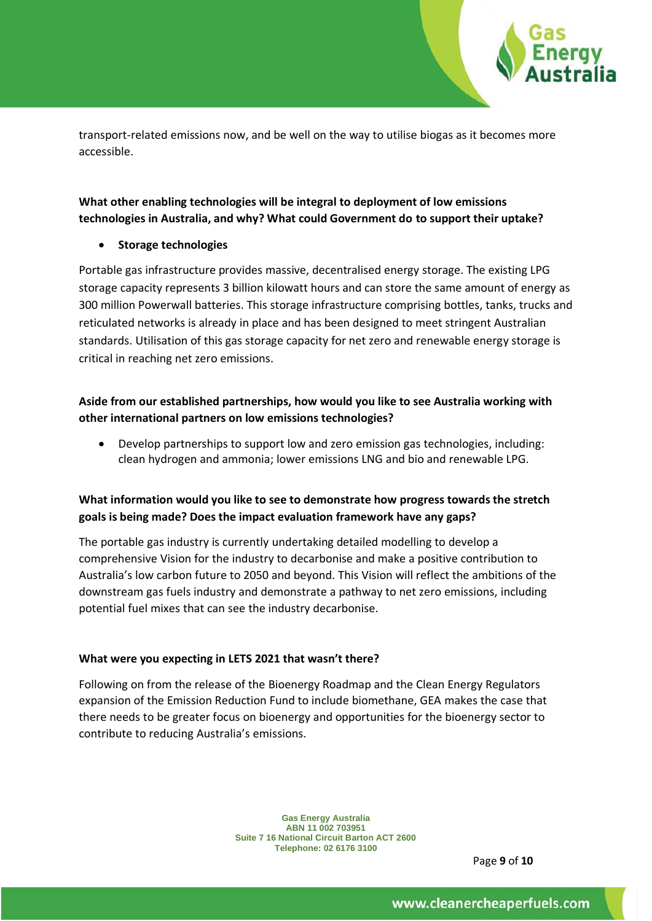

transport-related emissions now, and be well on the way to utilise biogas as it becomes more accessible.

## **What other enabling technologies will be integral to deployment of low emissions technologies in Australia, and why? What could Government do to support their uptake?**

#### • **Storage technologies**

Portable gas infrastructure provides massive, decentralised energy storage. The existing LPG storage capacity represents 3 billion kilowatt hours and can store the same amount of energy as 300 million Powerwall batteries. This storage infrastructure comprising bottles, tanks, trucks and reticulated networks is already in place and has been designed to meet stringent Australian standards. Utilisation of this gas storage capacity for net zero and renewable energy storage is critical in reaching net zero emissions.

## **Aside from our established partnerships, how would you like to see Australia working with other international partners on low emissions technologies?**

• Develop partnerships to support low and zero emission gas technologies, including: clean hydrogen and ammonia; lower emissions LNG and bio and renewable LPG.

## **What information would you like to see to demonstrate how progress towards the stretch goals is being made? Does the impact evaluation framework have any gaps?**

The portable gas industry is currently undertaking detailed modelling to develop a comprehensive Vision for the industry to decarbonise and make a positive contribution to Australia's low carbon future to 2050 and beyond. This Vision will reflect the ambitions of the downstream gas fuels industry and demonstrate a pathway to net zero emissions, including potential fuel mixes that can see the industry decarbonise.

#### **What were you expecting in LETS 2021 that wasn't there?**

Following on from the release of the Bioenergy Roadmap and the Clean Energy Regulators expansion of the Emission Reduction Fund to include biomethane, GEA makes the case that there needs to be greater focus on bioenergy and opportunities for the bioenergy sector to contribute to reducing Australia's emissions.

> **Gas Energy Australia ABN 11 002 703951 Suite 7 16 National Circuit Barton ACT 2600 Telephone: 02 6176 3100**

> > Page **9** of **10**